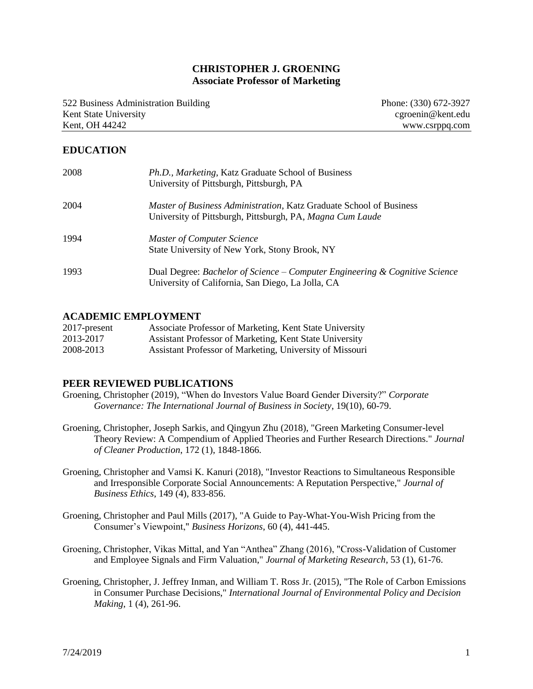## **CHRISTOPHER J. GROENING Associate Professor of Marketing**

522 Business Administration Building Kent State University Kent, OH 44242

Phone: (330) 672-3927 cgroenin@kent.edu www.csrppq.com

## **EDUCATION**

| 2008 | Ph.D., Marketing, Katz Graduate School of Business<br>University of Pittsburgh, Pittsburgh, PA                                   |
|------|----------------------------------------------------------------------------------------------------------------------------------|
| 2004 | Master of Business Administration, Katz Graduate School of Business<br>University of Pittsburgh, Pittsburgh, PA, Magna Cum Laude |
| 1994 | <b>Master of Computer Science</b><br>State University of New York, Stony Brook, NY                                               |
| 1993 | Dual Degree: Bachelor of Science – Computer Engineering & Cognitive Science<br>University of California, San Diego, La Jolla, CA |

#### **ACADEMIC EMPLOYMENT**

| $2017$ -present | Associate Professor of Marketing, Kent State University  |
|-----------------|----------------------------------------------------------|
| 2013-2017       | Assistant Professor of Marketing, Kent State University  |
| 2008-2013       | Assistant Professor of Marketing, University of Missouri |

#### **PEER REVIEWED PUBLICATIONS**

- Groening, Christopher (2019), "When do Investors Value Board Gender Diversity?" *Corporate Governance: The International Journal of Business in Society*, 19(10), 60-79.
- Groening, Christopher, Joseph Sarkis, and Qingyun Zhu (2018), "Green Marketing Consumer-level Theory Review: A Compendium of Applied Theories and Further Research Directions." *Journal of Cleaner Production*, 172 (1), 1848-1866.
- Groening, Christopher and Vamsi K. Kanuri (2018), "Investor Reactions to Simultaneous Responsible and Irresponsible Corporate Social Announcements: A Reputation Perspective," *Journal of Business Ethics*, 149 (4), 833-856.
- Groening, Christopher and Paul Mills (2017), "A Guide to Pay-What-You-Wish Pricing from the Consumer's Viewpoint," *Business Horizons*, 60 (4), 441-445.
- Groening, Christopher, Vikas Mittal, and Yan "Anthea" Zhang (2016), "Cross-Validation of Customer and Employee Signals and Firm Valuation," *Journal of Marketing Research*, 53 (1), 61-76.
- Groening, Christopher, J. Jeffrey Inman, and William T. Ross Jr. (2015), "The Role of Carbon Emissions in Consumer Purchase Decisions," *International Journal of Environmental Policy and Decision Making*, 1 (4), 261-96.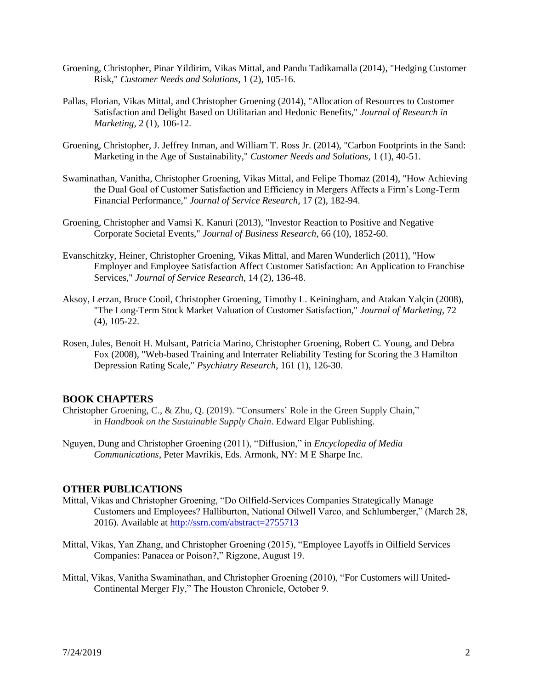- Groening, Christopher, Pinar Yildirim, Vikas Mittal, and Pandu Tadikamalla (2014), "Hedging Customer Risk," *Customer Needs and Solutions*, 1 (2), 105-16.
- Pallas, Florian, Vikas Mittal, and Christopher Groening (2014), "Allocation of Resources to Customer Satisfaction and Delight Based on Utilitarian and Hedonic Benefits," *Journal of Research in Marketing*, 2 (1), 106-12.
- Groening, Christopher, J. Jeffrey Inman, and William T. Ross Jr. (2014), "Carbon Footprints in the Sand: Marketing in the Age of Sustainability," *Customer Needs and Solutions*, 1 (1), 40-51.
- Swaminathan, Vanitha, Christopher Groening, Vikas Mittal, and Felipe Thomaz (2014), "How Achieving the Dual Goal of Customer Satisfaction and Efficiency in Mergers Affects a Firm's Long-Term Financial Performance," *Journal of Service Research*, 17 (2), 182-94.
- Groening, Christopher and Vamsi K. Kanuri (2013), "Investor Reaction to Positive and Negative Corporate Societal Events," *Journal of Business Research*, 66 (10), 1852-60.
- Evanschitzky, Heiner, Christopher Groening, Vikas Mittal, and Maren Wunderlich (2011), "How Employer and Employee Satisfaction Affect Customer Satisfaction: An Application to Franchise Services," *Journal of Service Research*, 14 (2), 136-48.
- Aksoy, Lerzan, Bruce Cooil, Christopher Groening, Timothy L. Keiningham, and Atakan Yalçin (2008), "The Long-Term Stock Market Valuation of Customer Satisfaction," *Journal of Marketing*, 72 (4), 105-22.
- Rosen, Jules, Benoit H. Mulsant, Patricia Marino, Christopher Groening, Robert C. Young, and Debra Fox (2008), "Web-based Training and Interrater Reliability Testing for Scoring the 3 Hamilton Depression Rating Scale," *Psychiatry Research,* 161 (1), 126-30.

#### **BOOK CHAPTERS**

- Christopher Groening, C., & Zhu, Q. (2019). "Consumers' Role in the Green Supply Chain," in *Handbook on the Sustainable Supply Chain*. Edward Elgar Publishing.
- Nguyen, Dung and Christopher Groening (2011), "Diffusion," in *Encyclopedia of Media Communications*, Peter Mavrikis, Eds. Armonk, NY: M E Sharpe Inc.

#### **OTHER PUBLICATIONS**

- Mittal, Vikas and Christopher Groening, "Do Oilfield-Services Companies Strategically Manage Customers and Employees? Halliburton, National Oilwell Varco, and Schlumberger," (March 28, 2016). Available at<http://ssrn.com/abstract=2755713>
- Mittal, Vikas, Yan Zhang, and Christopher Groening (2015), "Employee Layoffs in Oilfield Services Companies: Panacea or Poison?," Rigzone, August 19.
- Mittal, Vikas, Vanitha Swaminathan, and Christopher Groening (2010), "For Customers will United-Continental Merger Fly," The Houston Chronicle, October 9.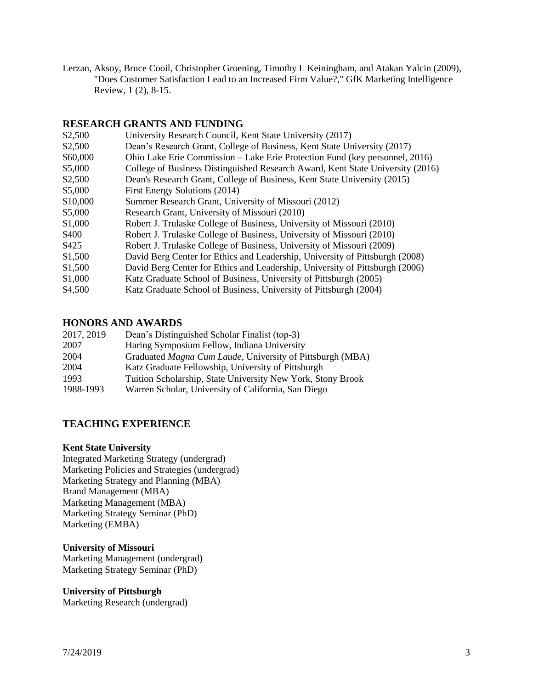Lerzan, Aksoy, Bruce Cooil, Christopher Groening, Timothy L Keiningham, and Atakan Yalcin (2009), "Does Customer Satisfaction Lead to an Increased Firm Value?," GfK Marketing Intelligence Review, 1 (2), 8-15.

## **RESEARCH GRANTS AND FUNDING**

| \$2,500  | University Research Council, Kent State University (2017)                      |
|----------|--------------------------------------------------------------------------------|
| \$2,500  | Dean's Research Grant, College of Business, Kent State University (2017)       |
| \$60,000 | Ohio Lake Erie Commission – Lake Erie Protection Fund (key personnel, 2016)    |
| \$5,000  | College of Business Distinguished Research Award, Kent State University (2016) |
| \$2,500  | Dean's Research Grant, College of Business, Kent State University (2015)       |
| \$5,000  | First Energy Solutions (2014)                                                  |
| \$10,000 | Summer Research Grant, University of Missouri (2012)                           |
| \$5,000  | Research Grant, University of Missouri (2010)                                  |
| \$1,000  | Robert J. Trulaske College of Business, University of Missouri (2010)          |
| \$400    | Robert J. Trulaske College of Business, University of Missouri (2010)          |
| \$425    | Robert J. Trulaske College of Business, University of Missouri (2009)          |
| \$1,500  | David Berg Center for Ethics and Leadership, University of Pittsburgh (2008)   |
| \$1,500  | David Berg Center for Ethics and Leadership, University of Pittsburgh (2006)   |
| \$1,000  | Katz Graduate School of Business, University of Pittsburgh (2005)              |
| \$4,500  | Katz Graduate School of Business, University of Pittsburgh (2004)              |

#### **HONORS AND AWARDS**

| 2017, 2019 | Dean's Distinguished Scholar Finalist (top-3)               |
|------------|-------------------------------------------------------------|
| 2007       | Haring Symposium Fellow, Indiana University                 |
| 2004       | Graduated Magna Cum Laude, University of Pittsburgh (MBA)   |
| 2004       | Katz Graduate Fellowship, University of Pittsburgh          |
| 1993       | Tuition Scholarship, State University New York, Stony Brook |
| 1988-1993  | Warren Scholar, University of California, San Diego         |

# **TEACHING EXPERIENCE**

#### **Kent State University**

Integrated Marketing Strategy (undergrad) Marketing Policies and Strategies (undergrad) Marketing Strategy and Planning (MBA) Brand Management (MBA) Marketing Management (MBA) Marketing Strategy Seminar (PhD) Marketing (EMBA)

#### **University of Missouri**

Marketing Management (undergrad) Marketing Strategy Seminar (PhD)

#### **University of Pittsburgh**

Marketing Research (undergrad)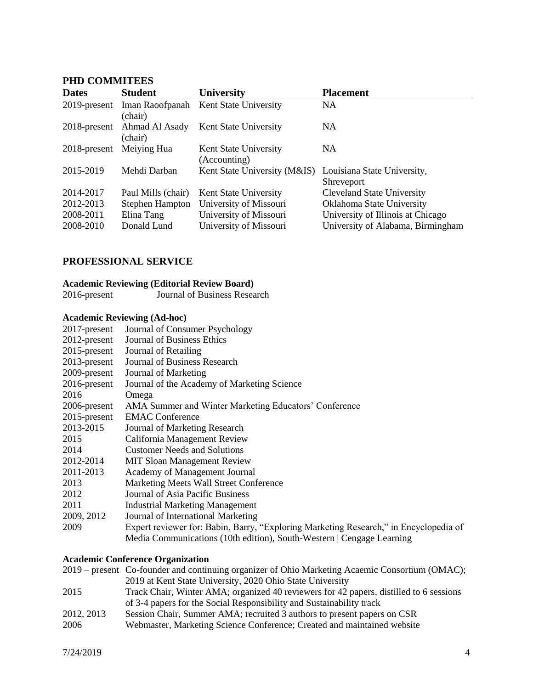# **PHD COMMITEES**

| <b>Dates</b> | <b>Student</b>             | <b>University</b>                                        | <b>Placement</b>                  |
|--------------|----------------------------|----------------------------------------------------------|-----------------------------------|
| 2019-present | Iman Raoofpanah<br>(chair) | Kent State University                                    | <b>NA</b>                         |
| 2018-present | Ahmad Al Asady<br>(chair)  | Kent State University                                    | <b>NA</b>                         |
| 2018-present | Meiying Hua                | Kent State University<br>(Accounting)                    | <b>NA</b>                         |
| 2015-2019    | Mehdi Darban               | Kent State University (M&IS) Louisiana State University, | Shreveport                        |
| 2014-2017    | Paul Mills (chair)         | Kent State University                                    | <b>Cleveland State University</b> |
| 2012-2013    | Stephen Hampton            | University of Missouri                                   | Oklahoma State University         |
| 2008-2011    | Elina Tang                 | University of Missouri                                   | University of Illinois at Chicago |
| 2008-2010    | Donald Lund                | University of Missouri                                   | University of Alabama, Birmingham |

# **PROFESSIONAL SERVICE**

# **Academic Reviewing (Editorial Review Board)**

| 2016-present |  |  | Journal of Business Research |
|--------------|--|--|------------------------------|
|              |  |  |                              |

#### **Academic Reviewing (Ad-hoc)**

| $2017$ -present | Journal of Consumer Psychology                                                        |
|-----------------|---------------------------------------------------------------------------------------|
| $2012$ -present | Journal of Business Ethics                                                            |
| $2015$ -present | Journal of Retailing                                                                  |
| $2013$ -present | Journal of Business Research                                                          |
| 2009-present    | Journal of Marketing                                                                  |
| $2016$ -present | Journal of the Academy of Marketing Science                                           |
| 2016            | Omega                                                                                 |
| 2006-present    | AMA Summer and Winter Marketing Educators' Conference                                 |
| $2015$ -present | <b>EMAC Conference</b>                                                                |
| 2013-2015       | Journal of Marketing Research                                                         |
| 2015            | California Management Review                                                          |
| 2014            | <b>Customer Needs and Solutions</b>                                                   |
| 2012-2014       | <b>MIT Sloan Management Review</b>                                                    |
| 2011-2013       | <b>Academy of Management Journal</b>                                                  |
| 2013            | Marketing Meets Wall Street Conference                                                |
| 2012            | Journal of Asia Pacific Business                                                      |
| 2011            | <b>Industrial Marketing Management</b>                                                |
| 2009, 2012      | Journal of International Marketing                                                    |
| 2009            | Expert reviewer for: Babin, Barry, "Exploring Marketing Research," in Encyclopedia of |
|                 | Media Communications (10th edition), South-Western   Cengage Learning                 |
|                 |                                                                                       |

# **Academic Conference Organization**

|            | 2019 – present Co-founder and continuing organizer of Ohio Marketing Acaemic Consortium (OMAC); |
|------------|-------------------------------------------------------------------------------------------------|
|            | 2019 at Kent State University, 2020 Ohio State University                                       |
| 2015       | Track Chair, Winter AMA; organized 40 reviewers for 42 papers, distilled to 6 sessions          |
|            | of 3-4 papers for the Social Responsibility and Sustainability track                            |
| 2012, 2013 | Session Chair, Summer AMA; recruited 3 authors to present papers on CSR                         |
| 2006       | Webmaster, Marketing Science Conference; Created and maintained website                         |